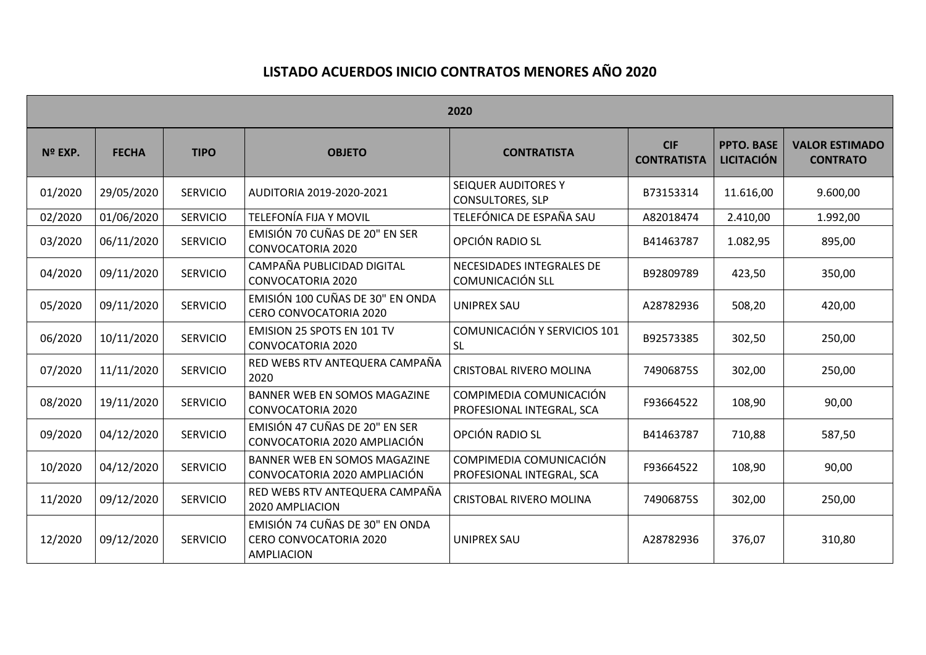## **LISTADO ACUERDOS INICIO CONTRATOS MENORES AÑO 2020**

| 2020    |              |                 |                                                                         |                                                      |                                  |                                        |                                          |  |  |  |  |
|---------|--------------|-----------------|-------------------------------------------------------------------------|------------------------------------------------------|----------------------------------|----------------------------------------|------------------------------------------|--|--|--|--|
| Nº EXP. | <b>FECHA</b> | <b>TIPO</b>     | <b>OBJETO</b>                                                           | <b>CONTRATISTA</b>                                   | <b>CIF</b><br><b>CONTRATISTA</b> | <b>PPTO. BASE</b><br><b>LICITACIÓN</b> | <b>VALOR ESTIMADO</b><br><b>CONTRATO</b> |  |  |  |  |
| 01/2020 | 29/05/2020   | <b>SERVICIO</b> | AUDITORIA 2019-2020-2021                                                | SEIQUER AUDITORES Y<br><b>CONSULTORES, SLP</b>       | B73153314                        | 11.616,00                              | 9.600,00                                 |  |  |  |  |
| 02/2020 | 01/06/2020   | <b>SERVICIO</b> | TELEFONÍA FIJA Y MOVIL                                                  | TELEFÓNICA DE ESPAÑA SAU                             | A82018474                        | 2.410,00                               | 1.992,00                                 |  |  |  |  |
| 03/2020 | 06/11/2020   | <b>SERVICIO</b> | EMISIÓN 70 CUÑAS DE 20" EN SER<br><b>CONVOCATORIA 2020</b>              | OPCIÓN RADIO SL                                      | B41463787                        | 1.082,95                               | 895,00                                   |  |  |  |  |
| 04/2020 | 09/11/2020   | <b>SERVICIO</b> | CAMPAÑA PUBLICIDAD DIGITAL<br><b>CONVOCATORIA 2020</b>                  | NECESIDADES INTEGRALES DE<br><b>COMUNICACIÓN SLL</b> | B92809789                        | 423,50                                 | 350,00                                   |  |  |  |  |
| 05/2020 | 09/11/2020   | <b>SERVICIO</b> | EMISIÓN 100 CUÑAS DE 30" EN ONDA<br>CERO CONVOCATORIA 2020              | <b>UNIPREX SAU</b>                                   | A28782936                        | 508,20                                 | 420,00                                   |  |  |  |  |
| 06/2020 | 10/11/2020   | <b>SERVICIO</b> | EMISION 25 SPOTS EN 101 TV<br><b>CONVOCATORIA 2020</b>                  | COMUNICACIÓN Y SERVICIOS 101<br><b>SL</b>            | B92573385                        | 302,50                                 | 250,00                                   |  |  |  |  |
| 07/2020 | 11/11/2020   | <b>SERVICIO</b> | RED WEBS RTV ANTEQUERA CAMPAÑA<br>2020                                  | <b>CRISTOBAL RIVERO MOLINA</b>                       | 74906875S                        | 302,00                                 | 250,00                                   |  |  |  |  |
| 08/2020 | 19/11/2020   | <b>SERVICIO</b> | BANNER WEB EN SOMOS MAGAZINE<br><b>CONVOCATORIA 2020</b>                | COMPIMEDIA COMUNICACIÓN<br>PROFESIONAL INTEGRAL, SCA | F93664522                        | 108,90                                 | 90,00                                    |  |  |  |  |
| 09/2020 | 04/12/2020   | <b>SERVICIO</b> | EMISIÓN 47 CUÑAS DE 20" EN SER<br>CONVOCATORIA 2020 AMPLIACIÓN          | OPCIÓN RADIO SL                                      | B41463787                        | 710,88                                 | 587,50                                   |  |  |  |  |
| 10/2020 | 04/12/2020   | <b>SERVICIO</b> | <b>BANNER WEB EN SOMOS MAGAZINE</b><br>CONVOCATORIA 2020 AMPLIACIÓN     | COMPIMEDIA COMUNICACIÓN<br>PROFESIONAL INTEGRAL, SCA | F93664522                        | 108,90                                 | 90,00                                    |  |  |  |  |
| 11/2020 | 09/12/2020   | <b>SERVICIO</b> | RED WEBS RTV ANTEQUERA CAMPAÑA<br>2020 AMPLIACION                       | CRISTOBAL RIVERO MOLINA                              | 74906875S                        | 302,00                                 | 250,00                                   |  |  |  |  |
| 12/2020 | 09/12/2020   | <b>SERVICIO</b> | EMISIÓN 74 CUÑAS DE 30" EN ONDA<br>CERO CONVOCATORIA 2020<br>AMPLIACION | <b>UNIPREX SAU</b>                                   | A28782936                        | 376,07                                 | 310,80                                   |  |  |  |  |